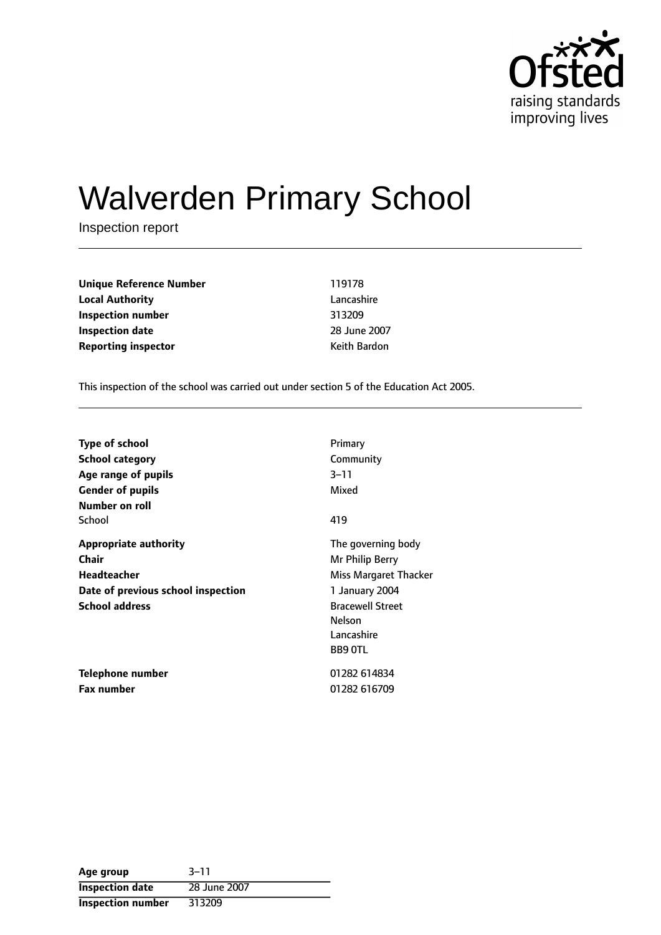

# Walverden Primary School

Inspection report

| 119178       |
|--------------|
| Lancashire   |
| 313209       |
| 28 June 2007 |
| Keith Bardon |
|              |

This inspection of the school was carried out under section 5 of the Education Act 2005.

| <b>Type of school</b>              | Primary                 |
|------------------------------------|-------------------------|
| <b>School category</b>             | Community               |
| Age range of pupils                | $3 - 11$                |
| <b>Gender of pupils</b>            | Mixed                   |
| Number on roll                     |                         |
| School                             | 419                     |
| <b>Appropriate authority</b>       | The governing body      |
| Chair                              | Mr Philip Berry         |
| Headteacher                        | Miss Margaret Thacker   |
| Date of previous school inspection | 1 January 2004          |
| <b>School address</b>              | <b>Bracewell Street</b> |
|                                    | Nelson                  |
|                                    | Lancashire              |
|                                    | <b>BB9 OTL</b>          |
| <b>Telephone number</b>            | 01282 614834            |
| <b>Fax number</b>                  | 01282 616709            |

| Age group                | $3 - 11$     |
|--------------------------|--------------|
| <b>Inspection date</b>   | 28 June 2007 |
| <b>Inspection number</b> | 313209       |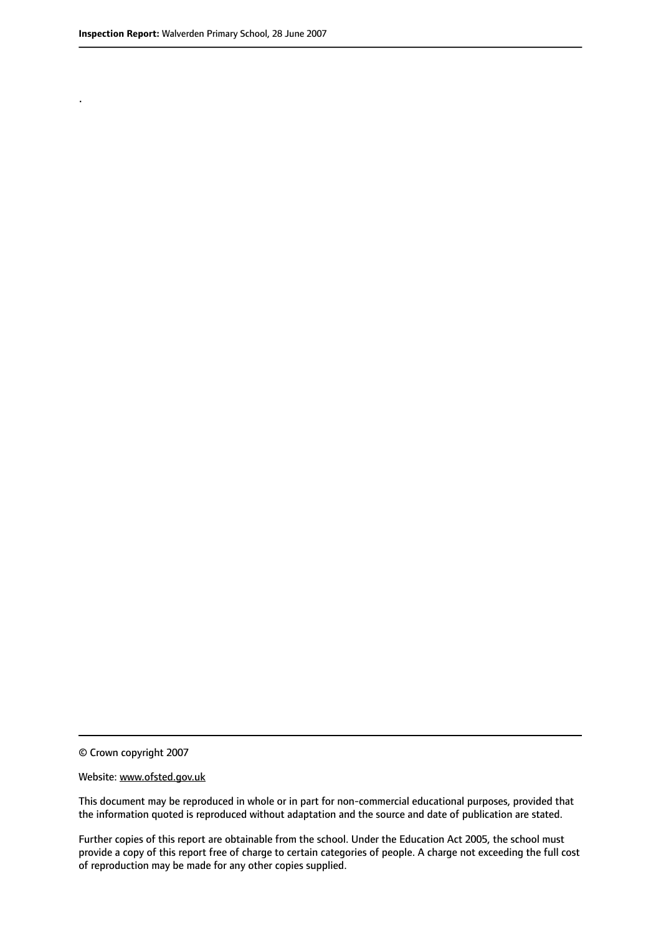.

© Crown copyright 2007

#### Website: www.ofsted.gov.uk

This document may be reproduced in whole or in part for non-commercial educational purposes, provided that the information quoted is reproduced without adaptation and the source and date of publication are stated.

Further copies of this report are obtainable from the school. Under the Education Act 2005, the school must provide a copy of this report free of charge to certain categories of people. A charge not exceeding the full cost of reproduction may be made for any other copies supplied.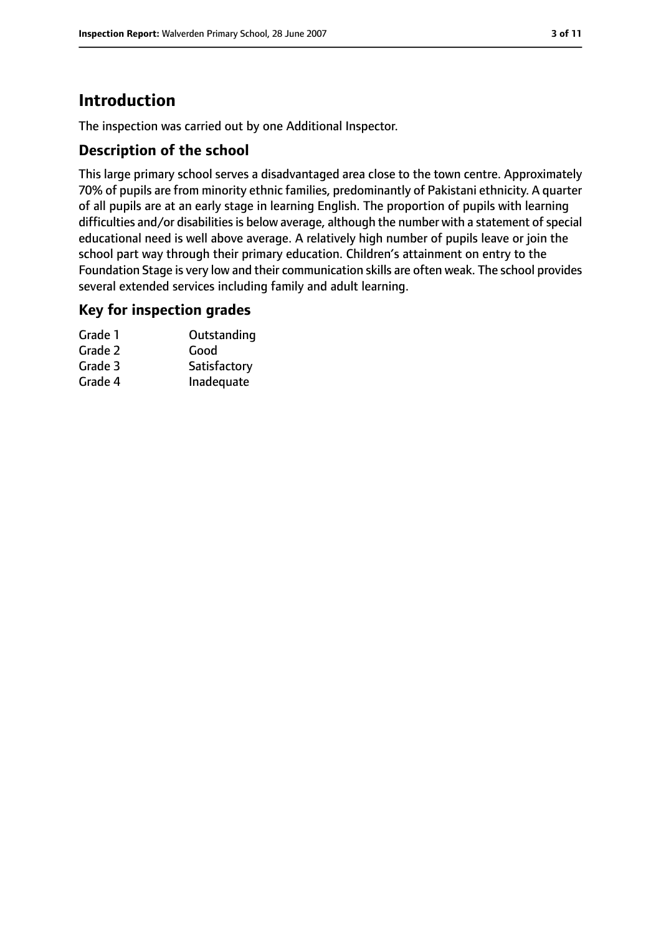# **Introduction**

The inspection was carried out by one Additional Inspector.

## **Description of the school**

This large primary school serves a disadvantaged area close to the town centre. Approximately 70% of pupils are from minority ethnic families, predominantly of Pakistani ethnicity. A quarter of all pupils are at an early stage in learning English. The proportion of pupils with learning difficulties and/or disabilities is below average, although the number with a statement of special educational need is well above average. A relatively high number of pupils leave or join the school part way through their primary education. Children's attainment on entry to the Foundation Stage is very low and their communication skills are often weak. The school provides several extended services including family and adult learning.

#### **Key for inspection grades**

| Grade 1 | Outstanding  |
|---------|--------------|
| Grade 2 | Good         |
| Grade 3 | Satisfactory |
| Grade 4 | Inadequate   |
|         |              |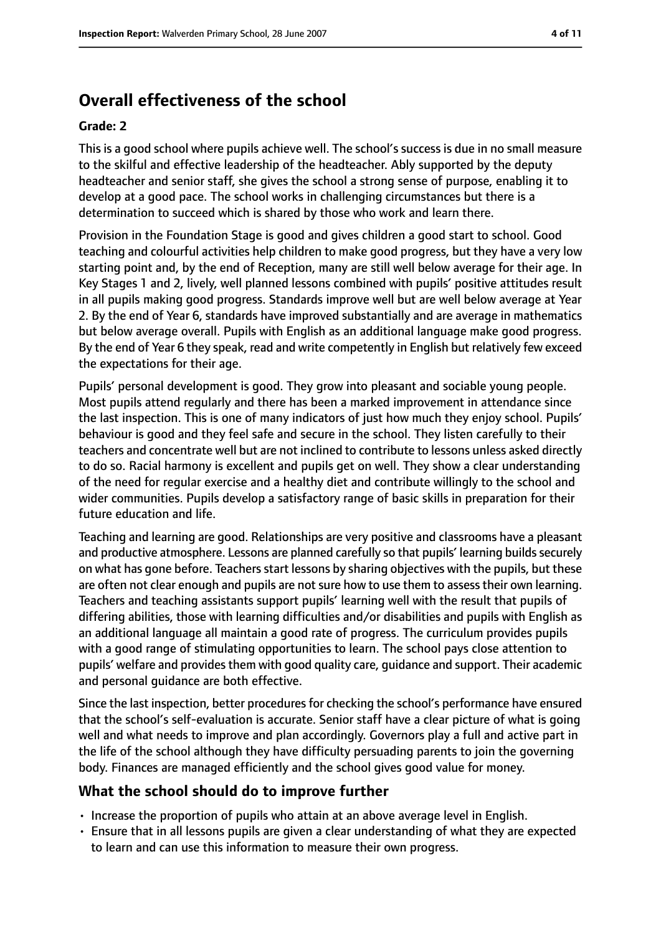# **Overall effectiveness of the school**

#### **Grade: 2**

This is a good school where pupils achieve well. The school's success is due in no small measure to the skilful and effective leadership of the headteacher. Ably supported by the deputy headteacher and senior staff, she gives the school a strong sense of purpose, enabling it to develop at a good pace. The school works in challenging circumstances but there is a determination to succeed which is shared by those who work and learn there.

Provision in the Foundation Stage is good and gives children a good start to school. Good teaching and colourful activities help children to make good progress, but they have a very low starting point and, by the end of Reception, many are still well below average for their age. In Key Stages 1 and 2, lively, well planned lessons combined with pupils' positive attitudes result in all pupils making good progress. Standards improve well but are well below average at Year 2. By the end of Year 6, standards have improved substantially and are average in mathematics but below average overall. Pupils with English as an additional language make good progress. By the end of Year 6 they speak, read and write competently in English but relatively few exceed the expectations for their age.

Pupils' personal development is good. They grow into pleasant and sociable young people. Most pupils attend regularly and there has been a marked improvement in attendance since the last inspection. This is one of many indicators of just how much they enjoy school. Pupils' behaviour is good and they feel safe and secure in the school. They listen carefully to their teachers and concentrate well but are not inclined to contribute to lessons unless asked directly to do so. Racial harmony is excellent and pupils get on well. They show a clear understanding of the need for regular exercise and a healthy diet and contribute willingly to the school and wider communities. Pupils develop a satisfactory range of basic skills in preparation for their future education and life.

Teaching and learning are good. Relationships are very positive and classrooms have a pleasant and productive atmosphere. Lessons are planned carefully so that pupils' learning builds securely on what has gone before. Teachers start lessons by sharing objectives with the pupils, but these are often not clear enough and pupils are not sure how to use them to assess their own learning. Teachers and teaching assistants support pupils' learning well with the result that pupils of differing abilities, those with learning difficulties and/or disabilities and pupils with English as an additional language all maintain a good rate of progress. The curriculum provides pupils with a good range of stimulating opportunities to learn. The school pays close attention to pupils' welfare and provides them with good quality care, guidance and support. Their academic and personal guidance are both effective.

Since the last inspection, better procedures for checking the school's performance have ensured that the school's self-evaluation is accurate. Senior staff have a clear picture of what is going well and what needs to improve and plan accordingly. Governors play a full and active part in the life of the school although they have difficulty persuading parents to join the governing body. Finances are managed efficiently and the school gives good value for money.

#### **What the school should do to improve further**

- Increase the proportion of pupils who attain at an above average level in English.
- Ensure that in all lessons pupils are given a clear understanding of what they are expected to learn and can use this information to measure their own progress.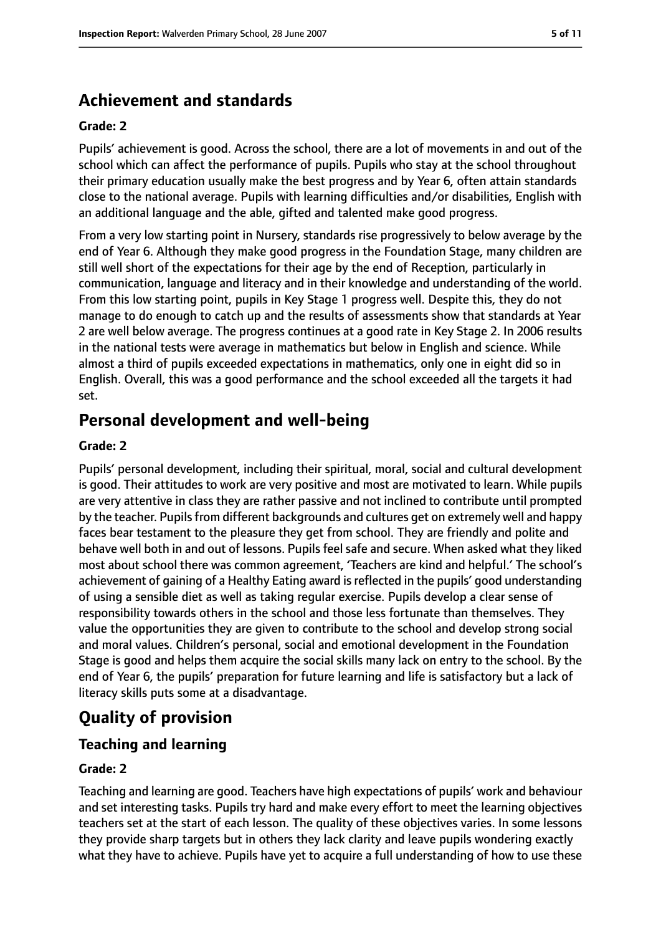# **Achievement and standards**

#### **Grade: 2**

Pupils' achievement is good. Across the school, there are a lot of movements in and out of the school which can affect the performance of pupils. Pupils who stay at the school throughout their primary education usually make the best progress and by Year 6, often attain standards close to the national average. Pupils with learning difficulties and/or disabilities, English with an additional language and the able, gifted and talented make good progress.

From a very low starting point in Nursery, standards rise progressively to below average by the end of Year 6. Although they make good progress in the Foundation Stage, many children are still well short of the expectations for their age by the end of Reception, particularly in communication, language and literacy and in their knowledge and understanding of the world. From this low starting point, pupils in Key Stage 1 progress well. Despite this, they do not manage to do enough to catch up and the results of assessments show that standards at Year 2 are well below average. The progress continues at a good rate in Key Stage 2. In 2006 results in the national tests were average in mathematics but below in English and science. While almost a third of pupils exceeded expectations in mathematics, only one in eight did so in English. Overall, this was a good performance and the school exceeded all the targets it had set.

## **Personal development and well-being**

#### **Grade: 2**

Pupils' personal development, including their spiritual, moral, social and cultural development is good. Their attitudes to work are very positive and most are motivated to learn. While pupils are very attentive in class they are rather passive and not inclined to contribute until prompted by the teacher. Pupils from different backgrounds and cultures get on extremely well and happy faces bear testament to the pleasure they get from school. They are friendly and polite and behave well both in and out of lessons. Pupils feel safe and secure. When asked what they liked most about school there was common agreement, 'Teachers are kind and helpful.' The school's achievement of gaining of a Healthy Eating award is reflected in the pupils' good understanding of using a sensible diet as well as taking regular exercise. Pupils develop a clear sense of responsibility towards others in the school and those less fortunate than themselves. They value the opportunities they are given to contribute to the school and develop strong social and moral values. Children's personal, social and emotional development in the Foundation Stage is good and helps them acquire the social skills many lack on entry to the school. By the end of Year 6, the pupils' preparation for future learning and life is satisfactory but a lack of literacy skills puts some at a disadvantage.

## **Quality of provision**

## **Teaching and learning**

#### **Grade: 2**

Teaching and learning are good. Teachers have high expectations of pupils' work and behaviour and set interesting tasks. Pupils try hard and make every effort to meet the learning objectives teachers set at the start of each lesson. The quality of these objectives varies. In some lessons they provide sharp targets but in others they lack clarity and leave pupils wondering exactly what they have to achieve. Pupils have yet to acquire a full understanding of how to use these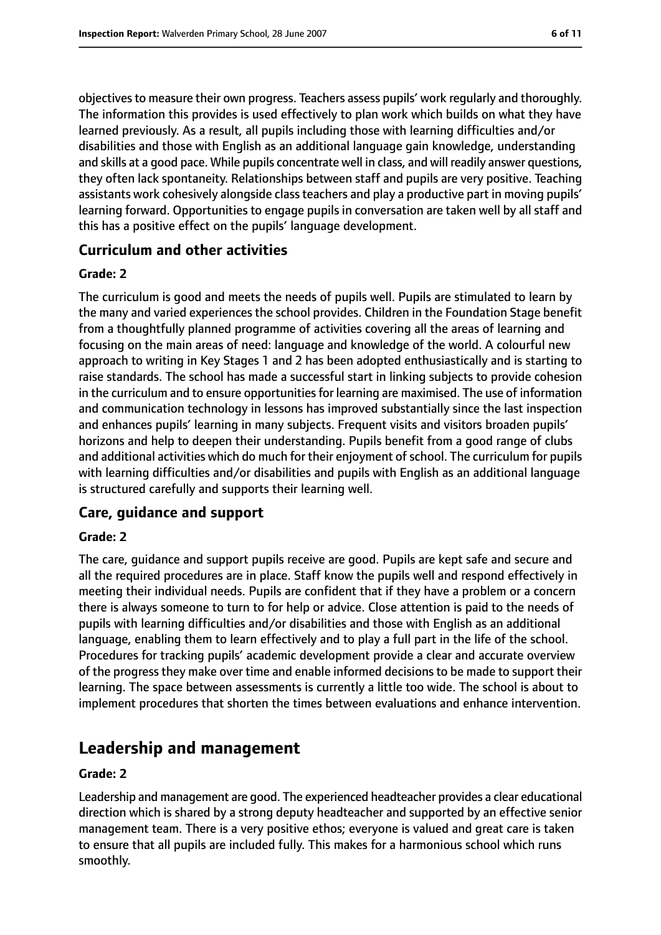objectives to measure their own progress. Teachers assess pupils' work regularly and thoroughly. The information this provides is used effectively to plan work which builds on what they have learned previously. As a result, all pupils including those with learning difficulties and/or disabilities and those with English as an additional language gain knowledge, understanding and skills at a good pace. While pupils concentrate well in class, and will readily answer questions, they often lack spontaneity. Relationships between staff and pupils are very positive. Teaching assistants work cohesively alongside class teachers and play a productive part in moving pupils' learning forward. Opportunities to engage pupils in conversation are taken well by all staff and this has a positive effect on the pupils' language development.

#### **Curriculum and other activities**

#### **Grade: 2**

The curriculum is good and meets the needs of pupils well. Pupils are stimulated to learn by the many and varied experiences the school provides. Children in the Foundation Stage benefit from a thoughtfully planned programme of activities covering all the areas of learning and focusing on the main areas of need: language and knowledge of the world. A colourful new approach to writing in Key Stages 1 and 2 has been adopted enthusiastically and is starting to raise standards. The school has made a successful start in linking subjects to provide cohesion in the curriculum and to ensure opportunities for learning are maximised. The use of information and communication technology in lessons has improved substantially since the last inspection and enhances pupils' learning in many subjects. Frequent visits and visitors broaden pupils' horizons and help to deepen their understanding. Pupils benefit from a good range of clubs and additional activities which do much for their enjoyment of school. The curriculum for pupils with learning difficulties and/or disabilities and pupils with English as an additional language is structured carefully and supports their learning well.

#### **Care, guidance and support**

#### **Grade: 2**

The care, guidance and support pupils receive are good. Pupils are kept safe and secure and all the required procedures are in place. Staff know the pupils well and respond effectively in meeting their individual needs. Pupils are confident that if they have a problem or a concern there is always someone to turn to for help or advice. Close attention is paid to the needs of pupils with learning difficulties and/or disabilities and those with English as an additional language, enabling them to learn effectively and to play a full part in the life of the school. Procedures for tracking pupils' academic development provide a clear and accurate overview of the progress they make over time and enable informed decisions to be made to support their learning. The space between assessments is currently a little too wide. The school is about to implement procedures that shorten the times between evaluations and enhance intervention.

## **Leadership and management**

#### **Grade: 2**

Leadership and management are good. The experienced headteacher provides a clear educational direction which is shared by a strong deputy headteacher and supported by an effective senior management team. There is a very positive ethos; everyone is valued and great care is taken to ensure that all pupils are included fully. This makes for a harmonious school which runs smoothly.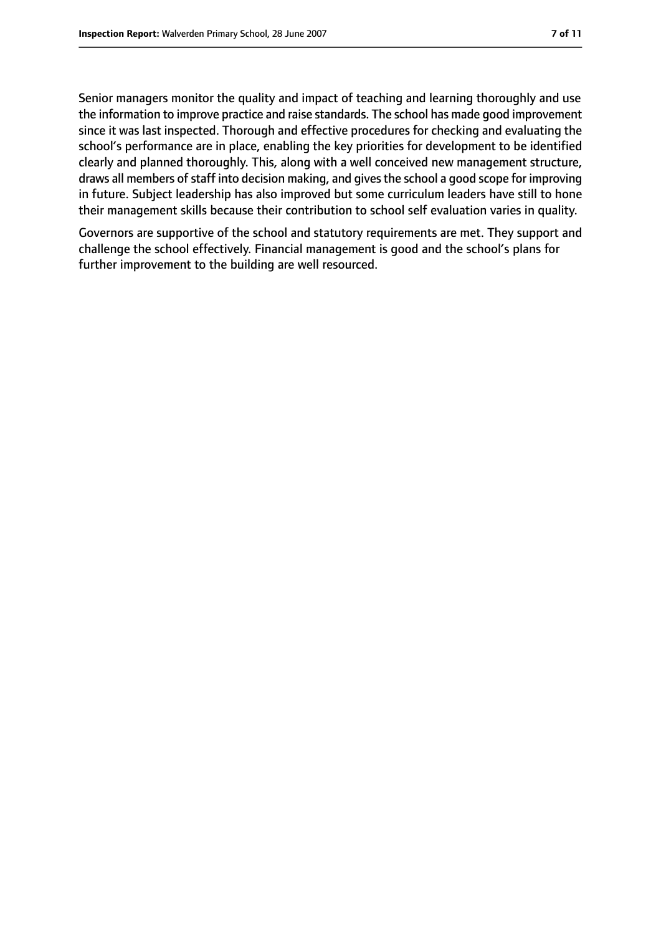Senior managers monitor the quality and impact of teaching and learning thoroughly and use the information to improve practice and raise standards. The school has made good improvement since it was last inspected. Thorough and effective procedures for checking and evaluating the school's performance are in place, enabling the key priorities for development to be identified clearly and planned thoroughly. This, along with a well conceived new management structure, draws all members of staff into decision making, and gives the school a good scope for improving in future. Subject leadership has also improved but some curriculum leaders have still to hone their management skills because their contribution to school self evaluation varies in quality.

Governors are supportive of the school and statutory requirements are met. They support and challenge the school effectively. Financial management is good and the school's plans for further improvement to the building are well resourced.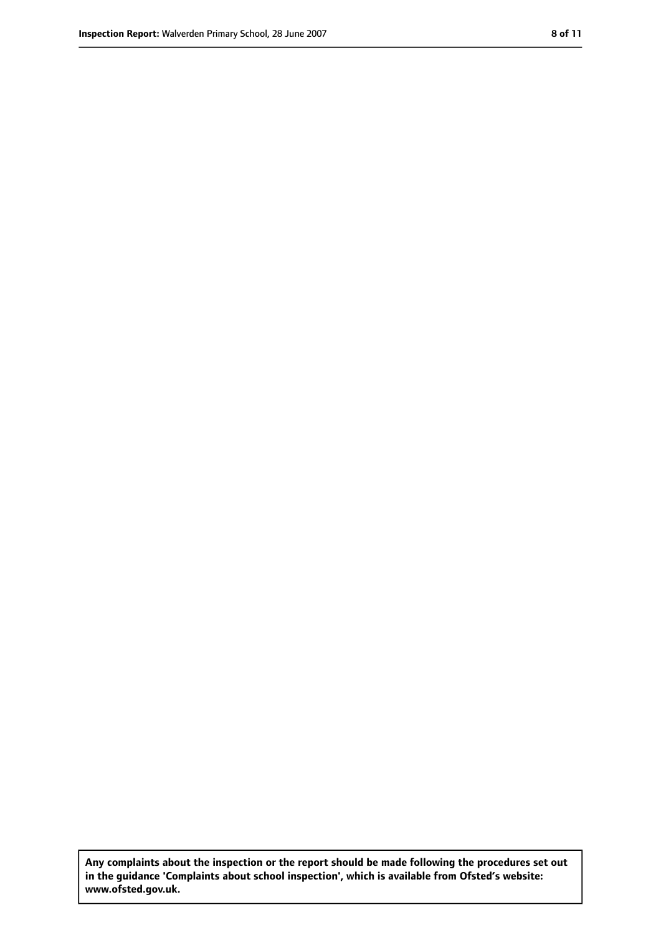**Any complaints about the inspection or the report should be made following the procedures set out in the guidance 'Complaints about school inspection', which is available from Ofsted's website: www.ofsted.gov.uk.**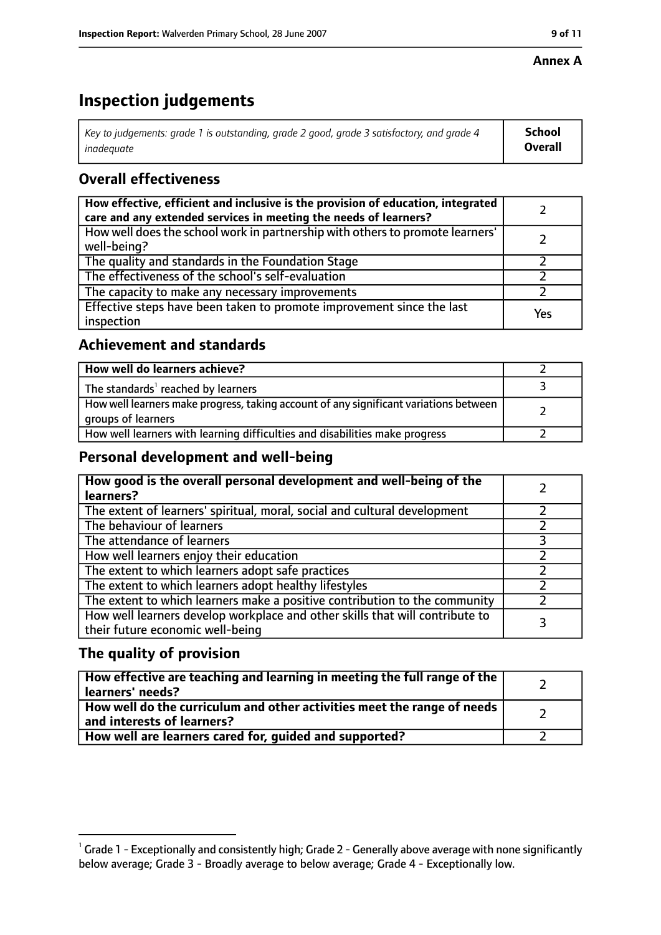#### **Annex A**

# **Inspection judgements**

| Key to judgements: grade 1 is outstanding, grade 2 good, grade 3 satisfactory, and grade 4 | <b>School</b>  |
|--------------------------------------------------------------------------------------------|----------------|
| inadeauate                                                                                 | <b>Overall</b> |

## **Overall effectiveness**

| How effective, efficient and inclusive is the provision of education, integrated<br>care and any extended services in meeting the needs of learners? |     |
|------------------------------------------------------------------------------------------------------------------------------------------------------|-----|
| How well does the school work in partnership with others to promote learners'<br>well-being?                                                         |     |
| The quality and standards in the Foundation Stage                                                                                                    |     |
| The effectiveness of the school's self-evaluation                                                                                                    |     |
| The capacity to make any necessary improvements                                                                                                      |     |
| Effective steps have been taken to promote improvement since the last<br>inspection                                                                  | Yes |

## **Achievement and standards**

| How well do learners achieve?                                                                               |  |
|-------------------------------------------------------------------------------------------------------------|--|
| The standards <sup>1</sup> reached by learners                                                              |  |
| How well learners make progress, taking account of any significant variations between<br>groups of learners |  |
| How well learners with learning difficulties and disabilities make progress                                 |  |

## **Personal development and well-being**

| How good is the overall personal development and well-being of the<br>learners?                                  |  |
|------------------------------------------------------------------------------------------------------------------|--|
| The extent of learners' spiritual, moral, social and cultural development                                        |  |
| The behaviour of learners                                                                                        |  |
| The attendance of learners                                                                                       |  |
| How well learners enjoy their education                                                                          |  |
| The extent to which learners adopt safe practices                                                                |  |
| The extent to which learners adopt healthy lifestyles                                                            |  |
| The extent to which learners make a positive contribution to the community                                       |  |
| How well learners develop workplace and other skills that will contribute to<br>their future economic well-being |  |

## **The quality of provision**

| How effective are teaching and learning in meeting the full range of the<br>learners' needs?          |  |
|-------------------------------------------------------------------------------------------------------|--|
| How well do the curriculum and other activities meet the range of needs<br>and interests of learners? |  |
| How well are learners cared for, guided and supported?                                                |  |

 $^1$  Grade 1 - Exceptionally and consistently high; Grade 2 - Generally above average with none significantly below average; Grade 3 - Broadly average to below average; Grade 4 - Exceptionally low.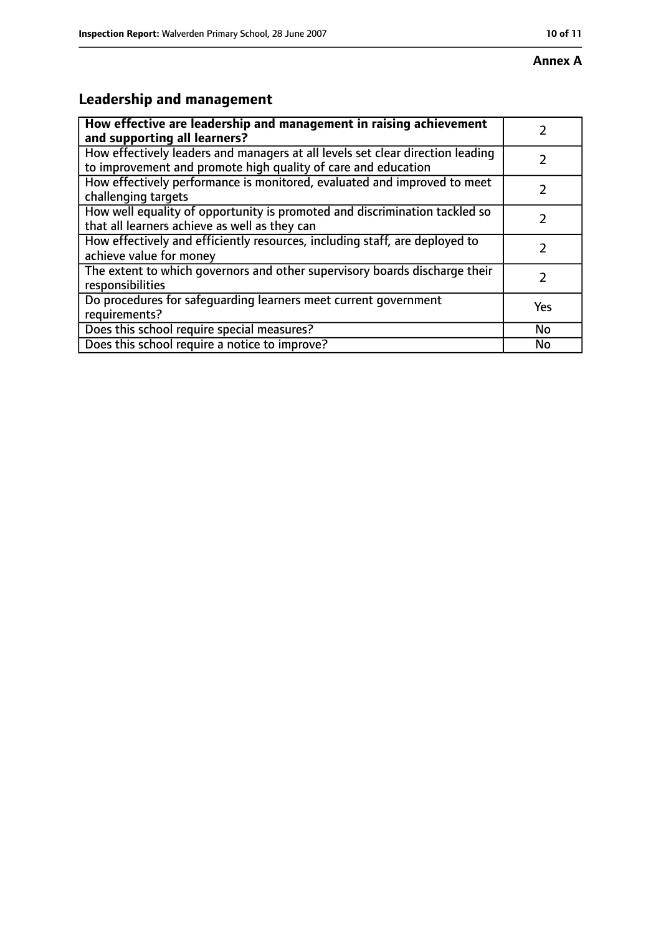# **Leadership and management**

| How effective are leadership and management in raising achievement                                                                              |               |
|-------------------------------------------------------------------------------------------------------------------------------------------------|---------------|
| and supporting all learners?                                                                                                                    |               |
| How effectively leaders and managers at all levels set clear direction leading<br>to improvement and promote high quality of care and education |               |
| How effectively performance is monitored, evaluated and improved to meet<br>challenging targets                                                 |               |
| How well equality of opportunity is promoted and discrimination tackled so<br>that all learners achieve as well as they can                     |               |
| How effectively and efficiently resources, including staff, are deployed to<br>achieve value for money                                          | 7             |
| The extent to which governors and other supervisory boards discharge their<br>responsibilities                                                  | $\mathcal{L}$ |
| Do procedures for safequarding learners meet current government<br>requirements?                                                                | Yes           |
| Does this school require special measures?                                                                                                      | No            |
| Does this school require a notice to improve?                                                                                                   | No            |